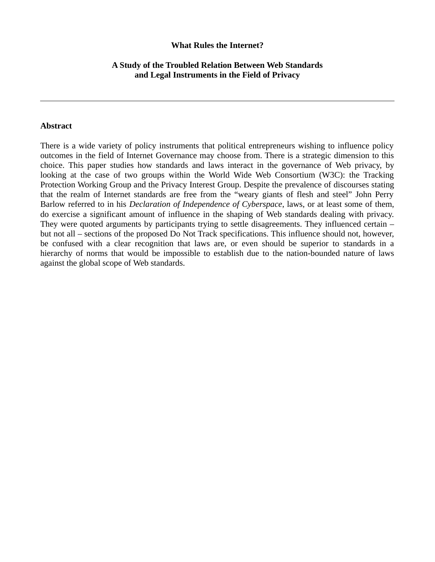#### **What Rules the Internet?**

## **A Study of the Troubled Relation Between Web Standards and Legal Instruments in the Field of Privacy**

#### **Abstract**

There is a wide variety of policy instruments that political entrepreneurs wishing to influence policy outcomes in the field of Internet Governance may choose from. There is a strategic dimension to this choice. This paper studies how standards and laws interact in the governance of Web privacy, by looking at the case of two groups within the World Wide Web Consortium (W3C): the Tracking Protection Working Group and the Privacy Interest Group. Despite the prevalence of discourses stating that the realm of Internet standards are free from the "weary giants of flesh and steel" John Perry Barlow referred to in his *Declaration of Independence of Cyberspace*, laws, or at least some of them, do exercise a significant amount of influence in the shaping of Web standards dealing with privacy. They were quoted arguments by participants trying to settle disagreements. They influenced certain – but not all – sections of the proposed Do Not Track specifications. This influence should not, however, be confused with a clear recognition that laws are, or even should be superior to standards in a hierarchy of norms that would be impossible to establish due to the nation-bounded nature of laws against the global scope of Web standards.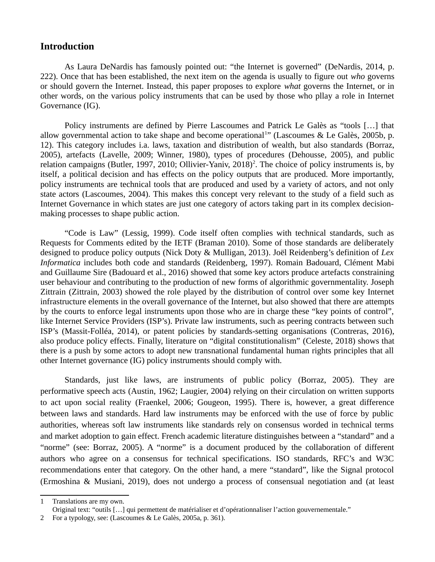# **Introduction**

As Laura DeNardis has famously pointed out: "the Internet is governed" (DeNardis, 2014, p. 222). Once that has been established, the next item on the agenda is usually to figure out *who* governs or should govern the Internet. Instead, this paper proposes to explore *what* governs the Internet, or in other words, on the various policy instruments that can be used by those who pllay a role in Internet Governance (IG).

Policy instruments are defined by Pierre Lascoumes and Patrick Le Galès as "tools […] that allow governmental action to take shape and become operational<sup>[1](#page-1-0)</sup>" (Lascoumes & Le Galès, 2005b, p. 12). This category includes i.a. laws, taxation and distribution of wealth, but also standards (Borraz, 2005), artefacts (Lavelle, 2009; Winner, 1980), types of procedures (Dehousse, 2005), and public relation campaigns (Butler, 1997, [2](#page-1-1)010; Ollivier-Yaniv, 2018)<sup>2</sup>. The choice of policy instruments is, by itself, a political decision and has effects on the policy outputs that are produced. More importantly, policy instruments are technical tools that are produced and used by a variety of actors, and not only state actors (Lascoumes, 2004). This makes this concept very relevant to the study of a field such as Internet Governance in which states are just one category of actors taking part in its complex decisionmaking processes to shape public action.

"Code is Law" (Lessig, 1999). Code itself often complies with technical standards, such as Requests for Comments edited by the IETF (Braman 2010). Some of those standards are deliberately designed to produce policy outputs (Nick Doty & Mulligan, 2013). Joël Reidenberg's definition of *Lex Informatica* includes both code and standards (Reidenberg, 1997). Romain Badouard, Clément Mabi and Guillaume Sire (Badouard et al., 2016) showed that some key actors produce artefacts constraining user behaviour and contributing to the production of new forms of algorithmic governmentality. Joseph Zittrain (Zittrain, 2003) showed the role played by the distribution of control over some key Internet infrastructure elements in the overall governance of the Internet, but also showed that there are attempts by the courts to enforce legal instruments upon those who are in charge these "key points of control", like Internet Service Providers (ISP's). Private law instruments, such as peering contracts between such ISP's (Massit-Folléa, 2014), or patent policies by standards-setting organisations (Contreras, 2016), also produce policy effects. Finally, literature on "digital constitutionalism" (Celeste, 2018) shows that there is a push by some actors to adopt new transnational fundamental human rights principles that all other Internet governance (IG) policy instruments should comply with.

Standards, just like laws, are instruments of public policy (Borraz, 2005). They are performative speech acts (Austin, 1962; Laugier, 2004) relying on their circulation on written supports to act upon social reality (Fraenkel, 2006; Gougeon, 1995). There is, however, a great difference between laws and standards. Hard law instruments may be enforced with the use of force by public authorities, whereas soft law instruments like standards rely on consensus worded in technical terms and market adoption to gain effect. French academic literature distinguishes between a "standard" and a "norme" (see: Borraz, 2005). A "norme" is a document produced by the collaboration of different authors who agree on a consensus for technical specifications. ISO standards, RFC's and W3C recommendations enter that category. On the other hand, a mere "standard", like the Signal protocol (Ermoshina & Musiani, 2019), does not undergo a process of consensual negotiation and (at least

<span id="page-1-0"></span><sup>1</sup> Translations are my own.

Original text: "outils […] qui permettent de matérialiser et d'opérationnaliser l'action gouvernementale."

<span id="page-1-1"></span><sup>2</sup> For a typology, see: (Lascoumes & Le Galès, 2005a, p. 361).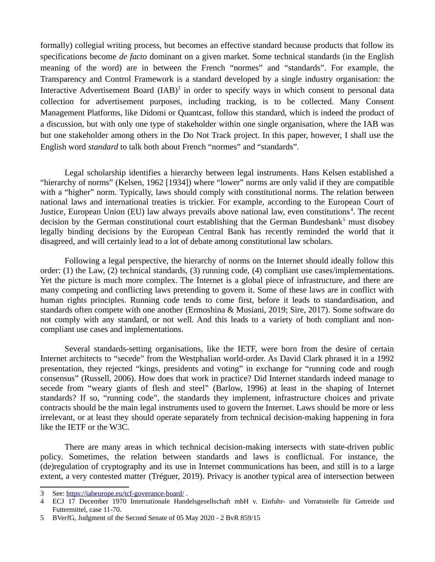formally) collegial writing process, but becomes an effective standard because products that follow its specifications become *de facto* dominant on a given market. Some technical standards (in the English meaning of the word) are in between the French "normes" and "standards". For example, the Transparency and Control Framework is a standard developed by a single industry organisation: the Interactive Advertisement Board  $(IAB)^3$  $(IAB)^3$  in order to specify ways in which consent to personal data collection for advertisement purposes, including tracking, is to be collected. Many Consent Management Platforms, like Didomi or Quantcast, follow this standard, which is indeed the product of a discussion, but with only one type of stakeholder within one single organisation, where the IAB was but one stakeholder among others in the Do Not Track project. In this paper, however, I shall use the English word *standard* to talk both about French "normes" and "standards".

Legal scholarship identifies a hierarchy between legal instruments. Hans Kelsen established a "hierarchy of norms" (Kelsen, 1962 [1934]) where "lower" norms are only valid if they are compatible with a "higher" norm. Typically, laws should comply with constitutional norms. The relation between national laws and international treaties is trickier. For example, according to the European Court of Justice, European Union (EU) law always prevails above national law, even constitutions<sup>[4](#page-2-1)</sup>. The recent decision by the German constitutional court establishing that the German Bundesbank<sup>[5](#page-2-2)</sup> must disobey legally binding decisions by the European Central Bank has recently reminded the world that it disagreed, and will certainly lead to a lot of debate among constitutional law scholars.

Following a legal perspective, the hierarchy of norms on the Internet should ideally follow this order: (1) the Law, (2) technical standards, (3) running code, (4) compliant use cases/implementations. Yet the picture is much more complex. The Internet is a global piece of infrastructure, and there are many competing and conflicting laws pretending to govern it. Some of these laws are in conflict with human rights principles. Running code tends to come first, before it leads to standardisation, and standards often compete with one another (Ermoshina & Musiani, 2019; Sire, 2017). Some software do not comply with any standard, or not well. And this leads to a variety of both compliant and noncompliant use cases and implementations.

Several standards-setting organisations, like the IETF, were born from the desire of certain Internet architects to "secede" from the Westphalian world-order. As David Clark phrased it in a 1992 presentation, they rejected "kings, presidents and voting" in exchange for "running code and rough consensus" (Russell, 2006). How does that work in practice? Did Internet standards indeed manage to secede from "weary giants of flesh and steel" (Barlow, 1996) at least in the shaping of Internet standards? If so, "running code", the standards they implement, infrastructure choices and private contracts should be the main legal instruments used to govern the Internet. Laws should be more or less irrelevant, or at least they should operate separately from technical decision-making happening in fora like the IETF or the W3C.

There are many areas in which technical decision-making intersects with state-driven public policy. Sometimes, the relation between standards and laws is conflictual. For instance, the (de)regulation of cryptography and its use in Internet communications has been, and still is to a large extent, a very contested matter (Tréguer, 2019). Privacy is another typical area of intersection between

<span id="page-2-0"></span><sup>3</sup> See:<https://iabeurope.eu/tcf-goverance-board/>.

<span id="page-2-1"></span><sup>4</sup> ECJ 17 December 1970 Internationale Handelsgesellschaft mbH v. Einfuhr- und Vorratsstelle für Getreide und Futtermittel, case 11-70.

<span id="page-2-2"></span><sup>5</sup> BVerfG, Judgment of the Second Senate of 05 May 2020 - 2 BvR 859/15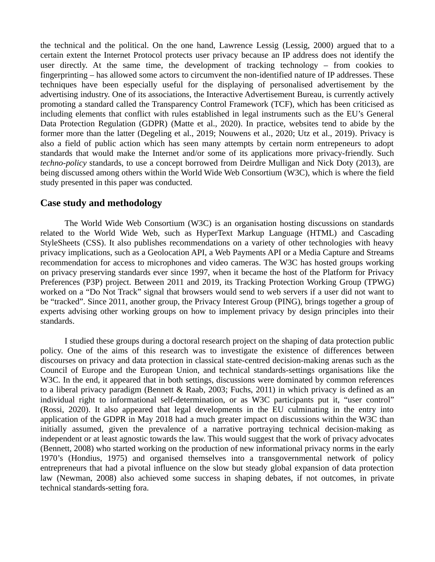the technical and the political. On the one hand, Lawrence Lessig (Lessig, 2000) argued that to a certain extent the Internet Protocol protects user privacy because an IP address does not identify the user directly. At the same time, the development of tracking technology – from cookies to fingerprinting – has allowed some actors to circumvent the non-identified nature of IP addresses. These techniques have been especially useful for the displaying of personalised advertisement by the advertising industry. One of its associations, the Interactive Advertisement Bureau, is currently actively promoting a standard called the Transparency Control Framework (TCF), which has been criticised as including elements that conflict with rules established in legal instruments such as the EU's General Data Protection Regulation (GDPR) (Matte et al., 2020). In practice, websites tend to abide by the former more than the latter (Degeling et al., 2019; Nouwens et al., 2020; Utz et al., 2019). Privacy is also a field of public action which has seen many attempts by certain norm entrepeneurs to adopt standards that would make the Internet and/or some of its applications more privacy-friendly. Such *techno-policy* standards, to use a concept borrowed from Deirdre Mulligan and Nick Doty (2013), are being discussed among others within the World Wide Web Consortium (W3C), which is where the field study presented in this paper was conducted.

# **Case study and methodology**

The World Wide Web Consortium (W3C) is an organisation hosting discussions on standards related to the World Wide Web, such as HyperText Markup Language (HTML) and Cascading StyleSheets (CSS). It also publishes recommendations on a variety of other technologies with heavy privacy implications, such as a Geolocation API, a Web Payments API or a Media Capture and Streams recommendation for access to microphones and video cameras. The W3C has hosted groups working on privacy preserving standards ever since 1997, when it became the host of the Platform for Privacy Preferences (P3P) project. Between 2011 and 2019, its Tracking Protection Working Group (TPWG) worked on a "Do Not Track" signal that browsers would send to web servers if a user did not want to be "tracked". Since 2011, another group, the Privacy Interest Group (PING), brings together a group of experts advising other working groups on how to implement privacy by design principles into their standards.

I studied these groups during a doctoral research project on the shaping of data protection public policy. One of the aims of this research was to investigate the existence of differences between discourses on privacy and data protection in classical state-centred decision-making arenas such as the Council of Europe and the European Union, and technical standards-settings organisations like the W3C. In the end, it appeared that in both settings, discussions were dominated by common references to a liberal privacy paradigm (Bennett & Raab, 2003; Fuchs, 2011) in which privacy is defined as an individual right to informational self-determination, or as W3C participants put it, "user control" (Rossi, 2020). It also appeared that legal developments in the EU culminating in the entry into application of the GDPR in May 2018 had a much greater impact on discussions within the W3C than initially assumed, given the prevalence of a narrative portraying technical decision-making as independent or at least agnostic towards the law. This would suggest that the work of privacy advocates (Bennett, 2008) who started working on the production of new informational privacy norms in the early 1970's (Hondius, 1975) and organised themselves into a transgovernmental network of policy entrepreneurs that had a pivotal influence on the slow but steady global expansion of data protection law (Newman, 2008) also achieved some success in shaping debates, if not outcomes, in private technical standards-setting fora.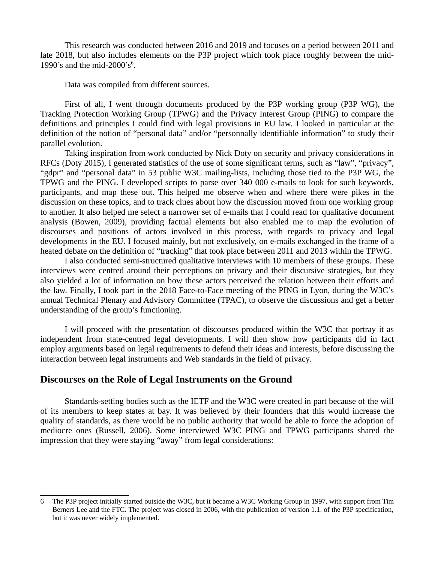This research was conducted between 2016 and 2019 and focuses on a period between 2011 and late 2018, but also includes elements on the P3P project which took place roughly between the mid-1990's and the mid-2000's<sup>[6](#page-4-0)</sup>.

Data was compiled from different sources.

First of all, I went through documents produced by the P3P working group (P3P WG), the Tracking Protection Working Group (TPWG) and the Privacy Interest Group (PING) to compare the definitions and principles I could find with legal provisions in EU law. I looked in particular at the definition of the notion of "personal data" and/or "personnally identifiable information" to study their parallel evolution.

Taking inspiration from work conducted by Nick Doty on security and privacy considerations in RFCs (Doty 2015), I generated statistics of the use of some significant terms, such as "law", "privacy", "gdpr" and "personal data" in 53 public W3C mailing-lists, including those tied to the P3P WG, the TPWG and the PING. I developed scripts to parse over 340 000 e-mails to look for such keywords, participants, and map these out. This helped me observe when and where there were pikes in the discussion on these topics, and to track clues about how the discussion moved from one working group to another. It also helped me select a narrower set of e-mails that I could read for qualitative document analysis (Bowen, 2009), providing factual elements but also enabled me to map the evolution of discourses and positions of actors involved in this process, with regards to privacy and legal developments in the EU. I focused mainly, but not exclusively, on e-mails exchanged in the frame of a heated debate on the definition of "tracking" that took place between 2011 and 2013 within the TPWG.

I also conducted semi-structured qualitative interviews with 10 members of these groups. These interviews were centred around their perceptions on privacy and their discursive strategies, but they also yielded a lot of information on how these actors perceived the relation between their efforts and the law. Finally, I took part in the 2018 Face-to-Face meeting of the PING in Lyon, during the W3C's annual Technical Plenary and Advisory Committee (TPAC), to observe the discussions and get a better understanding of the group's functioning.

I will proceed with the presentation of discourses produced within the W3C that portray it as independent from state-centred legal developments. I will then show how participants did in fact employ arguments based on legal requirements to defend their ideas and interests, before discussing the interaction between legal instruments and Web standards in the field of privacy.

## **Discourses on the Role of Legal Instruments on the Ground**

Standards-setting bodies such as the IETF and the W3C were created in part because of the will of its members to keep states at bay. It was believed by their founders that this would increase the quality of standards, as there would be no public authority that would be able to force the adoption of mediocre ones (Russell, 2006). Some interviewed W3C PING and TPWG participants shared the impression that they were staying "away" from legal considerations:

<span id="page-4-0"></span><sup>6</sup> The P3P project initially started outside the W3C, but it became a W3C Working Group in 1997, with support from Tim Berners Lee and the FTC. The project was closed in 2006, with the publication of version 1.1. of the P3P specification, but it was never widely implemented.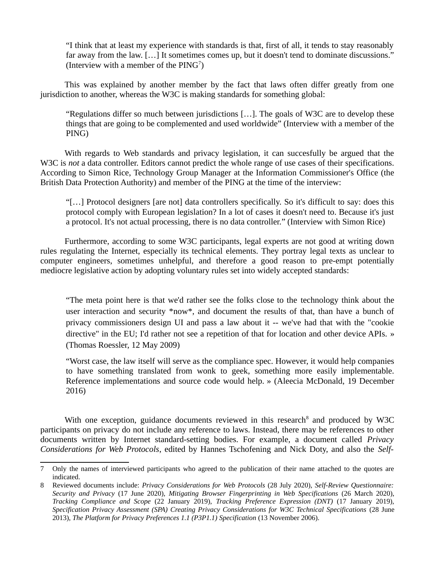"I think that at least my experience with standards is that, first of all, it tends to stay reasonably far away from the law. […] It sometimes comes up, but it doesn't tend to dominate discussions." (Interview with a member of the  $\text{PING}^7$  $\text{PING}^7$ )

This was explained by another member by the fact that laws often differ greatly from one jurisdiction to another, whereas the W3C is making standards for something global:

"Regulations differ so much between jurisdictions […]. The goals of W3C are to develop these things that are going to be complemented and used worldwide" (Interview with a member of the PING)

With regards to Web standards and privacy legislation, it can succesfully be argued that the W<sub>3</sub>C is *not* a data controller. Editors cannot predict the whole range of use cases of their specifications. According to Simon Rice, Technology Group Manager at the Information Commissioner's Office (the British Data Protection Authority) and member of the PING at the time of the interview:

"[…] Protocol designers [are not] data controllers specifically. So it's difficult to say: does this protocol comply with European legislation? In a lot of cases it doesn't need to. Because it's just a protocol. It's not actual processing, there is no data controller." (Interview with Simon Rice)

Furthermore, according to some W3C participants, legal experts are not good at writing down rules regulating the Internet, especially its technical elements. They portray legal texts as unclear to computer engineers, sometimes unhelpful, and therefore a good reason to pre-empt potentially mediocre legislative action by adopting voluntary rules set into widely accepted standards:

"The meta point here is that we'd rather see the folks close to the technology think about the user interaction and security \*now\*, and document the results of that, than have a bunch of privacy commissioners design UI and pass a law about it -- we've had that with the "cookie directive" in the EU; I'd rather not see a repetition of that for location and other device APIs. » (Thomas Roessler, 12 May 2009)

"Worst case, the law itself will serve as the compliance spec. However, it would help companies to have something translated from wonk to geek, something more easily implementable. Reference implementations and source code would help. » (Aleecia McDonald, 19 December 2016)

With one exception, guidance documents reviewed in this research $8$  and produced by W3C participants on privacy do not include any reference to laws. Instead, there may be references to other documents written by Internet standard-setting bodies. For example, a document called *Privacy Considerations for Web Protocols*, edited by Hannes Tschofening and Nick Doty, and also the *Self-*

<span id="page-5-0"></span><sup>7</sup> Only the names of interviewed participants who agreed to the publication of their name attached to the quotes are indicated.

<span id="page-5-1"></span><sup>8</sup> Reviewed documents include: *Privacy Considerations for Web Protocols* (28 July 2020), *Self-Review Questionnaire: Security and Privacy* (17 June 2020), *Mitigating Browser Fingerprinting in Web Specifications* (26 March 2020), *Tracking Compliance and Scope* (22 January 2019), *Tracking Preference Expression (DNT)* (17 January 2019), *Specification Privacy Assessment (SPA) Creating Privacy Considerations for W3C Technical Specifications* (28 June 2013), *The Platform for Privacy Preferences 1.1 (P3P1.1) Specification* (13 November 2006).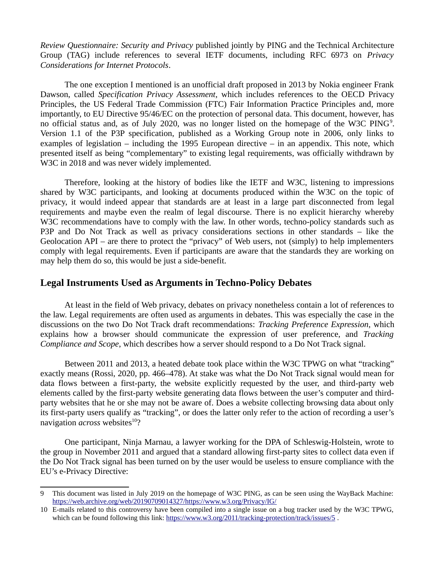*Review Questionnaire: Security and Privacy* published jointly by PING and the Technical Architecture Group (TAG) include references to several IETF documents, including RFC 6973 on *Privacy Considerations for Internet Protocols*.

The one exception I mentioned is an unofficial draft proposed in 2013 by Nokia engineer Frank Dawson, called *Specification Privacy Assessment*, which includes references to the OECD Privacy Principles, the US Federal Trade Commission (FTC) Fair Information Practice Principles and, more importantly, to EU Directive 95/46/EC on the protection of personal data. This document, however, has no official status and, as of July 2020, was no longer listed on the homepage of the W3C PING<sup>[9](#page-6-0)</sup>. Version 1.1 of the P3P specification, published as a Working Group note in 2006, only links to examples of legislation – including the 1995 European directive – in an appendix. This note, which presented itself as being "complementary" to existing legal requirements, was officially withdrawn by W3C in 2018 and was never widely implemented.

Therefore, looking at the history of bodies like the IETF and W3C, listening to impressions shared by W3C participants, and looking at documents produced within the W3C on the topic of privacy, it would indeed appear that standards are at least in a large part disconnected from legal requirements and maybe even the realm of legal discourse. There is no explicit hierarchy whereby W3C recommendations have to comply with the law. In other words, techno-policy standards such as P3P and Do Not Track as well as privacy considerations sections in other standards – like the Geolocation API – are there to protect the "privacy" of Web users, not (simply) to help implementers comply with legal requirements. Even if participants are aware that the standards they are working on may help them do so, this would be just a side-benefit.

# **Legal Instruments Used as Arguments in Techno-Policy Debates**

At least in the field of Web privacy, debates on privacy nonetheless contain a lot of references to the law. Legal requirements are often used as arguments in debates. This was especially the case in the discussions on the two Do Not Track draft recommendations: *Tracking Preference Expression*, which explains how a browser should communicate the expression of user preference, and *Tracking Compliance and Scope*, which describes how a server should respond to a Do Not Track signal.

Between 2011 and 2013, a heated debate took place within the W3C TPWG on what "tracking" exactly means (Rossi, 2020, pp. 466–478). At stake was what the Do Not Track signal would mean for data flows between a first-party, the website explicitly requested by the user, and third-party web elements called by the first-party website generating data flows between the user's computer and thirdparty websites that he or she may not be aware of. Does a website collecting browsing data about only its first-party users qualify as "tracking", or does the latter only refer to the action of recording a user's navigation *across* websites<sup>[10](#page-6-1)</sup>?

One participant, Ninja Marnau, a lawyer working for the DPA of Schleswig-Holstein, wrote to the group in November 2011 and argued that a standard allowing first-party sites to collect data even if the Do Not Track signal has been turned on by the user would be useless to ensure compliance with the EU's e-Privacy Directive:

<span id="page-6-0"></span><sup>9</sup> This document was listed in July 2019 on the homepage of W3C PING, as can be seen using the WayBack Machine: <https://web.archive.org/web/20190709014327/https://www.w3.org/Privacy/IG/>

<span id="page-6-1"></span><sup>10</sup> E-mails related to this controversy have been compiled into a single issue on a bug tracker used by the W3C TPWG, which can be found following this link: https://www.w3.org/2011/tracking-protection/track/issues/5.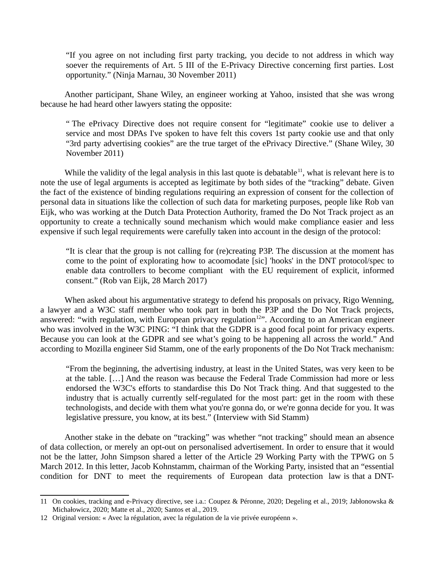"If you agree on not including first party tracking, you decide to not address in which way soever the requirements of Art. 5 III of the E-Privacy Directive concerning first parties. Lost opportunity." (Ninja Marnau, 30 November 2011)

Another participant, Shane Wiley, an engineer working at Yahoo, insisted that she was wrong because he had heard other lawyers stating the opposite:

" The ePrivacy Directive does not require consent for "legitimate" cookie use to deliver a service and most DPAs I've spoken to have felt this covers 1st party cookie use and that only "3rd party advertising cookies" are the true target of the ePrivacy Directive." (Shane Wiley, 30 November 2011)

While the validity of the legal analysis in this last quote is debatable<sup>[11](#page-7-0)</sup>, what is relevant here is to note the use of legal arguments is accepted as legitimate by both sides of the "tracking" debate. Given the fact of the existence of binding regulations requiring an expression of consent for the collection of personal data in situations like the collection of such data for marketing purposes, people like Rob van Eijk, who was working at the Dutch Data Protection Authority, framed the Do Not Track project as an opportunity to create a technically sound mechanism which would make compliance easier and less expensive if such legal requirements were carefully taken into account in the design of the protocol:

"It is clear that the group is not calling for (re)creating P3P. The discussion at the moment has come to the point of explorating how to acoomodate [sic] 'hooks' in the DNT protocol/spec to enable data controllers to become compliant with the EU requirement of explicit, informed consent." (Rob van Eijk, 28 March 2017)

When asked about his argumentative strategy to defend his proposals on privacy, Rigo Wenning, a lawyer and a W3C staff member who took part in both the P3P and the Do Not Track projects, answered: "with regulation, with European privacy regulation<sup>[12](#page-7-1)</sup>". According to an American engineer who was involved in the W3C PING: "I think that the GDPR is a good focal point for privacy experts. Because you can look at the GDPR and see what's going to be happening all across the world." And according to Mozilla engineer Sid Stamm, one of the early proponents of the Do Not Track mechanism:

"From the beginning, the advertising industry, at least in the United States, was very keen to be at the table. […] And the reason was because the Federal Trade Commission had more or less endorsed the W3C's efforts to standardise this Do Not Track thing. And that suggested to the industry that is actually currently self-regulated for the most part: get in the room with these technologists, and decide with them what you're gonna do, or we're gonna decide for you. It was legislative pressure, you know, at its best." (Interview with Sid Stamm)

Another stake in the debate on "tracking" was whether "not tracking" should mean an absence of data collection, or merely an opt-out on personalised advertisement. In order to ensure that it would not be the latter, John Simpson shared a letter of the Article 29 Working Party with the TPWG on 5 March 2012. In this letter, Jacob Kohnstamm, chairman of the Working Party, insisted that an "essential condition for DNT to meet the requirements of European data protection law is that a DNT-

<span id="page-7-0"></span><sup>11</sup> On cookies, tracking and e-Privacy directive, see i.a.: Coupez & Péronne, 2020; Degeling et al., 2019; Jabłonowska & Michałowicz, 2020; Matte et al., 2020; Santos et al., 2019.

<span id="page-7-1"></span><sup>12</sup> Original version: « Avec la régulation, avec la régulation de la vie privée européenn ».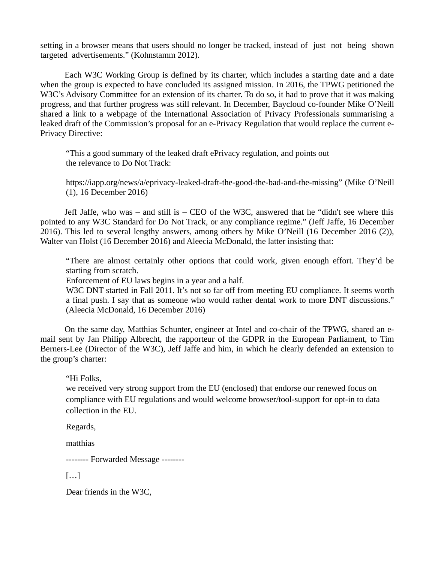setting in a browser means that users should no longer be tracked, instead of just not being shown targeted advertisements." (Kohnstamm 2012).

Each W3C Working Group is defined by its charter, which includes a starting date and a date when the group is expected to have concluded its assigned mission. In 2016, the TPWG petitioned the W3C's Advisory Committee for an extension of its charter. To do so, it had to prove that it was making progress, and that further progress was still relevant. In December, Baycloud co-founder Mike O'Neill shared a link to a webpage of the International Association of Privacy Professionals summarising a leaked draft of the Commission's proposal for an e-Privacy Regulation that would replace the current e-Privacy Directive:

"This a good summary of the leaked draft ePrivacy regulation, and points out the relevance to Do Not Track:

https://iapp.org/news/a/eprivacy-leaked-draft-the-good-the-bad-and-the-missing" (Mike O'Neill (1), 16 December 2016)

Jeff Jaffe, who was – and still is – CEO of the W3C, answered that he "didn't see where this pointed to any W3C Standard for Do Not Track, or any compliance regime." (Jeff Jaffe, 16 December 2016). This led to several lengthy answers, among others by Mike O'Neill (16 December 2016 (2)), Walter van Holst (16 December 2016) and Aleecia McDonald, the latter insisting that:

"There are almost certainly other options that could work, given enough effort. They'd be starting from scratch.

Enforcement of EU laws begins in a year and a half.

W3C DNT started in Fall 2011. It's not so far off from meeting EU compliance. It seems worth a final push. I say that as someone who would rather dental work to more DNT discussions." (Aleecia McDonald, 16 December 2016)

On the same day, Matthias Schunter, engineer at Intel and co-chair of the TPWG, shared an email sent by Jan Philipp Albrecht, the rapporteur of the GDPR in the European Parliament, to Tim Berners-Lee (Director of the W3C), Jeff Jaffe and him, in which he clearly defended an extension to the group's charter:

"Hi Folks,

we received very strong support from the EU (enclosed) that endorse our renewed focus on compliance with EU regulations and would welcome browser/tool-support for opt-in to data collection in the EU.

Regards,

matthias

-------- Forwarded Message --------

[…]

Dear friends in the W3C,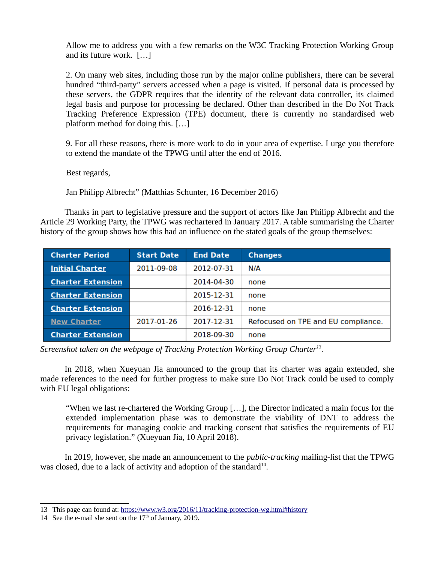Allow me to address you with a few remarks on the W3C Tracking Protection Working Group and its future work. […]

2. On many web sites, including those run by the major online publishers, there can be several hundred "third-party" servers accessed when a page is visited. If personal data is processed by these servers, the GDPR requires that the identity of the relevant data controller, its claimed legal basis and purpose for processing be declared. Other than described in the Do Not Track Tracking Preference Expression (TPE) document, there is currently no standardised web platform method for doing this. […]

9. For all these reasons, there is more work to do in your area of expertise. I urge you therefore to extend the mandate of the TPWG until after the end of 2016.

Best regards,

Jan Philipp Albrecht" (Matthias Schunter, 16 December 2016)

Thanks in part to legislative pressure and the support of actors like Jan Philipp Albrecht and the Article 29 Working Party, the TPWG was rechartered in January 2017. A table summarising the Charter history of the group shows how this had an influence on the stated goals of the group themselves:

| <b>Charter Period</b>    | <b>Start Date</b> | <b>End Date</b> | <b>Changes</b>                      |
|--------------------------|-------------------|-----------------|-------------------------------------|
| <b>Initial Charter</b>   | 2011-09-08        | 2012-07-31      | N/A                                 |
| <b>Charter Extension</b> |                   | 2014-04-30      | none                                |
| <b>Charter Extension</b> |                   | 2015-12-31      | none                                |
| <b>Charter Extension</b> |                   | 2016-12-31      | none                                |
| <b>New Charter</b>       | 2017-01-26        | 2017-12-31      | Refocused on TPE and EU compliance. |
| <b>Charter Extension</b> |                   | 2018-09-30      | none                                |

*Screenshot taken on the webpage of Tracking Protection Working Group Charter[13](#page-9-0) .*

In 2018, when Xueyuan Jia announced to the group that its charter was again extended, she made references to the need for further progress to make sure Do Not Track could be used to comply with EU legal obligations:

"When we last re-chartered the Working Group […], the Director indicated a main focus for the extended implementation phase was to demonstrate the viability of DNT to address the requirements for managing cookie and tracking consent that satisfies the requirements of EU privacy legislation." (Xueyuan Jia, 10 April 2018).

In 2019, however, she made an announcement to the *public-tracking* mailing-list that the TPWG was closed, due to a lack of activity and adoption of the standard $14$ .

<span id="page-9-0"></span><sup>13</sup> This page can found at:<https://www.w3.org/2016/11/tracking-protection-wg.html#history>

<span id="page-9-1"></span><sup>14</sup> See the e-mail she sent on the  $17<sup>th</sup>$  of January, 2019.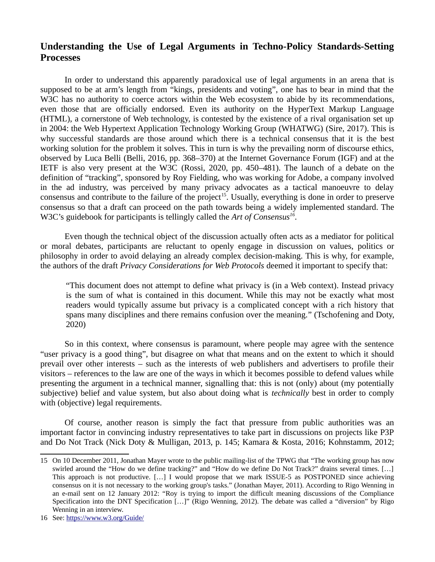# **Understanding the Use of Legal Arguments in Techno-Policy Standards-Setting Processes**

In order to understand this apparently paradoxical use of legal arguments in an arena that is supposed to be at arm's length from "kings, presidents and voting", one has to bear in mind that the W3C has no authority to coerce actors within the Web ecosystem to abide by its recommendations, even those that are officially endorsed. Even its authority on the HyperText Markup Language (HTML), a cornerstone of Web technology, is contested by the existence of a rival organisation set up in 2004: the Web Hypertext Application Technology Working Group (WHATWG) (Sire, 2017). This is why successful standards are those around which there is a technical consensus that it is the best working solution for the problem it solves. This in turn is why the prevailing norm of discourse ethics, observed by Luca Belli (Belli, 2016, pp. 368–370) at the Internet Governance Forum (IGF) and at the IETF is also very present at the W3C (Rossi, 2020, pp. 450–481). The launch of a debate on the definition of "tracking", sponsored by Roy Fielding, who was working for Adobe, a company involved in the ad industry, was perceived by many privacy advocates as a tactical manoeuvre to delay consensus and contribute to the failure of the project<sup>[15](#page-10-0)</sup>. Usually, everything is done in order to preserve consensus so that a draft can proceed on the path towards being a widely implemented standard. The W3C's guidebook for participants is tellingly called the *Art of Consensus[16](#page-10-1)* .

Even though the technical object of the discussion actually often acts as a mediator for political or moral debates, participants are reluctant to openly engage in discussion on values, politics or philosophy in order to avoid delaying an already complex decision-making. This is why, for example, the authors of the draft *Privacy Considerations for Web Protocols* deemed it important to specify that:

"This document does not attempt to define what privacy is (in a Web context). Instead privacy is the sum of what is contained in this document. While this may not be exactly what most readers would typically assume but privacy is a complicated concept with a rich history that spans many disciplines and there remains confusion over the meaning." (Tschofening and Doty, 2020)

So in this context, where consensus is paramount, where people may agree with the sentence "user privacy is a good thing", but disagree on what that means and on the extent to which it should prevail over other interests – such as the interests of web publishers and advertisers to profile their visitors – references to the law are one of the ways in which it becomes possible to defend values while presenting the argument in a technical manner, signalling that: this is not (only) about (my potentially subjective) belief and value system, but also about doing what is *technically* best in order to comply with (objective) legal requirements.

Of course, another reason is simply the fact that pressure from public authorities was an important factor in convincing industry representatives to take part in discussions on projects like P3P and Do Not Track (Nick Doty & Mulligan, 2013, p. 145; Kamara & Kosta, 2016; Kohnstamm, 2012;

<span id="page-10-0"></span><sup>15</sup> On 10 December 2011, Jonathan Mayer wrote to the public mailing-list of the TPWG that "The working group has now swirled around the "How do we define tracking?" and "How do we define Do Not Track?" drains several times. […] This approach is not productive. […] I would propose that we mark ISSUE-5 as POSTPONED since achieving consensus on it is not necessary to the working group's tasks." (Jonathan Mayer, 2011). According to Rigo Wenning in an e-mail sent on 12 January 2012: "Roy is trying to import the difficult meaning discussions of the Compliance Specification into the DNT Specification […]" (Rigo Wenning, 2012). The debate was called a "diversion" by Rigo Wenning in an interview.

<span id="page-10-1"></span><sup>16</sup> See:<https://www.w3.org/Guide/>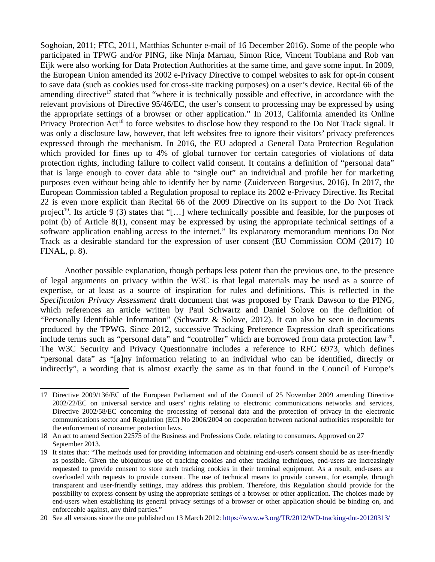Soghoian, 2011; FTC, 2011, Matthias Schunter e-mail of 16 December 2016). Some of the people who participated in TPWG and/or PING, like Ninja Marnau, Simon Rice, Vincent Toubiana and Rob van Eijk were also working for Data Protection Authorities at the same time, and gave some input. In 2009, the European Union amended its 2002 e-Privacy Directive to compel websites to ask for opt-in consent to save data (such as cookies used for cross-site tracking purposes) on a user's device. Recital 66 of the amending directive<sup>[17](#page-11-0)</sup> stated that "where it is technically possible and effective, in accordance with the relevant provisions of Directive 95/46/EC, the user's consent to processing may be expressed by using the appropriate settings of a browser or other application." In 2013, California amended its Online Privacy Protection Act<sup>[18](#page-11-1)</sup> to force websites to disclose how they respond to the Do Not Track signal. It was only a disclosure law, however, that left websites free to ignore their visitors' privacy preferences expressed through the mechanism. In 2016, the EU adopted a General Data Protection Regulation which provided for fines up to 4% of global turnover for certain categories of violations of data protection rights, including failure to collect valid consent. It contains a definition of "personal data" that is large enough to cover data able to "single out" an individual and profile her for marketing purposes even without being able to identify her by name (Zuiderveen Borgesius, 2016). In 2017, the European Commission tabled a Regulation proposal to replace its 2002 e-Privacy Directive. Its Recital 22 is even more explicit than Recital 66 of the 2009 Directive on its support to the Do Not Track project<sup>[19](#page-11-2)</sup>. Its article 9 (3) states that "[...] where technically possible and feasible, for the purposes of point (b) of Article 8(1), consent may be expressed by using the appropriate technical settings of a software application enabling access to the internet." Its explanatory memorandum mentions Do Not Track as a desirable standard for the expression of user consent (EU Commission COM (2017) 10 FINAL, p. 8).

Another possible explanation, though perhaps less potent than the previous one, to the presence of legal arguments on privacy within the W3C is that legal materials may be used as a source of expertise, or at least as a source of inspiration for rules and definitions. This is reflected in the *Specification Privacy Assessment* draft document that was proposed by Frank Dawson to the PING, which references an article written by Paul Schwartz and Daniel Solove on the definition of "Personally Identifiable Information" (Schwartz & Solove, 2012). It can also be seen in documents produced by the TPWG. Since 2012, successive Tracking Preference Expression draft specifications include terms such as "personal data" and "controller" which are borrowed from data protection law<sup>[20](#page-11-3)</sup>. The W3C Security and Privacy Questionnaire includes a reference to RFC 6973, which defines "personal data" as "[a]ny information relating to an individual who can be identified, directly or indirectly", a wording that is almost exactly the same as in that found in the Council of Europe's

<span id="page-11-0"></span><sup>17</sup> Directive 2009/136/EC of the European Parliament and of the Council of 25 November 2009 amending Directive 2002/22/EC on universal service and users' rights relating to electronic communications networks and services, Directive 2002/58/EC concerning the processing of personal data and the protection of privacy in the electronic communications sector and Regulation (EC) No 2006/2004 on cooperation between national authorities responsible for the enforcement of consumer protection laws.

<span id="page-11-1"></span><sup>18</sup> An act to amend Section 22575 of the Business and Professions Code, relating to consumers. Approved on 27 September 2013.

<span id="page-11-2"></span><sup>19</sup> It states that: "The methods used for providing information and obtaining end-user's consent should be as user-friendly as possible. Given the ubiquitous use of tracking cookies and other tracking techniques, end-users are increasingly requested to provide consent to store such tracking cookies in their terminal equipment. As a result, end-users are overloaded with requests to provide consent. The use of technical means to provide consent, for example, through transparent and user-friendly settings, may address this problem. Therefore, this Regulation should provide for the possibility to express consent by using the appropriate settings of a browser or other application. The choices made by end-users when establishing its general privacy settings of a browser or other application should be binding on, and enforceable against, any third parties."

<span id="page-11-3"></span><sup>20</sup> See all versions since the one published on 13 March 2012:<https://www.w3.org/TR/2012/WD-tracking-dnt-20120313/>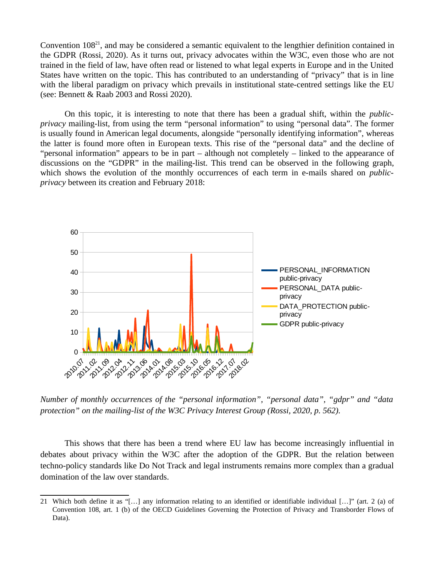Convention 108[21](#page-12-0), and may be considered a semantic equivalent to the lengthier definition contained in the GDPR (Rossi, 2020). As it turns out, privacy advocates within the W3C, even those who are not trained in the field of law, have often read or listened to what legal experts in Europe and in the United States have written on the topic. This has contributed to an understanding of "privacy" that is in line with the liberal paradigm on privacy which prevails in institutional state-centred settings like the EU (see: Bennett & Raab 2003 and Rossi 2020).

On this topic, it is interesting to note that there has been a gradual shift, within the *publicprivacy* mailing-list, from using the term "personal information" to using "personal data". The former is usually found in American legal documents, alongside "personally identifying information", whereas the latter is found more often in European texts. This rise of the "personal data" and the decline of "personal information" appears to be in part – although not completely – linked to the appearance of discussions on the "GDPR" in the mailing-list. This trend can be observed in the following graph, which shows the evolution of the monthly occurrences of each term in e-mails shared on *publicprivacy* between its creation and February 2018:



*Number of monthly occurrences of the "personal information", "personal data", "gdpr" and "data protection" on the mailing-list of the W3C Privacy Interest Group (Rossi, 2020, p. 562).*

This shows that there has been a trend where EU law has become increasingly influential in debates about privacy within the W3C after the adoption of the GDPR. But the relation between techno-policy standards like Do Not Track and legal instruments remains more complex than a gradual domination of the law over standards.

<span id="page-12-0"></span><sup>21</sup> Which both define it as "[…] any information relating to an identified or identifiable individual […]" (art. 2 (a) of Convention 108, art. 1 (b) of the OECD Guidelines Governing the Protection of Privacy and Transborder Flows of Data).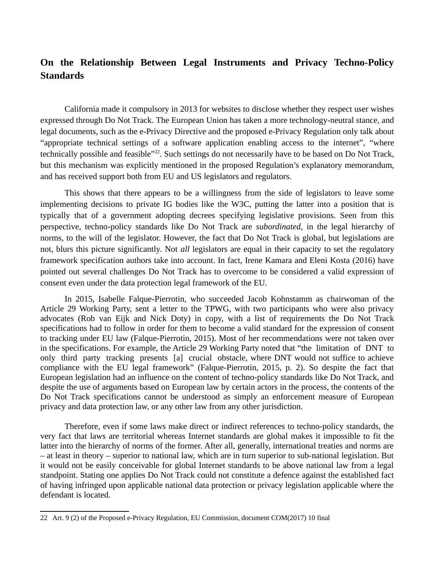# **On the Relationship Between Legal Instruments and Privacy Techno-Policy Standards**

California made it compulsory in 2013 for websites to disclose whether they respect user wishes expressed through Do Not Track. The European Union has taken a more technology-neutral stance, and legal documents, such as the e-Privacy Directive and the proposed e-Privacy Regulation only talk about "appropriate technical settings of a software application enabling access to the internet", "where technically possible and feasible"<sup>[22](#page-13-0)</sup>. Such settings do not necessarily have to be based on Do Not Track, but this mechanism was explicitly mentioned in the proposed Regulation's explanatory memorandum, and has received support both from EU and US legislators and regulators.

This shows that there appears to be a willingness from the side of legislators to leave some implementing decisions to private IG bodies like the W3C, putting the latter into a position that is typically that of a government adopting decrees specifying legislative provisions. Seen from this perspective, techno-policy standards like Do Not Track are *subordinated*, in the legal hierarchy of norms, to the will of the legislator. However, the fact that Do Not Track is global, but legislations are not, blurs this picture significantly. Not *all* legislators are equal in their capacity to set the regulatory framework specification authors take into account. In fact, Irene Kamara and Eleni Kosta (2016) have pointed out several challenges Do Not Track has to overcome to be considered a valid expression of consent even under the data protection legal framework of the EU.

In 2015, Isabelle Falque-Pierrotin, who succeeded Jacob Kohnstamm as chairwoman of the Article 29 Working Party, sent a letter to the TPWG, with two participants who were also privacy advocates (Rob van Eijk and Nick Doty) in copy, with a list of requirements the Do Not Track specifications had to follow in order for them to become a valid standard for the expression of consent to tracking under EU law (Falque-Pierrotin, 2015). Most of her recommendations were not taken over in the specifications. For example, the Article 29 Working Party noted that "the limitation of DNT to only third party tracking presents [a] crucial obstacle, where DNT would not suffice to achieve compliance with the EU legal framework" (Falque-Pierrotin, 2015, p. 2). So despite the fact that European legislation had an influence on the content of techno-policy standards like Do Not Track, and despite the use of arguments based on European law by certain actors in the process, the contents of the Do Not Track specifications cannot be understood as simply an enforcement measure of European privacy and data protection law, or any other law from any other jurisdiction.

Therefore, even if some laws make direct or indirect references to techno-policy standards, the very fact that laws are territorial whereas Internet standards are global makes it impossible to fit the latter into the hierarchy of norms of the former. After all, generally, international treaties and norms are – at least in theory – superior to national law, which are in turn superior to sub-national legislation. But it would not be easily conceivable for global Internet standards to be above national law from a legal standpoint. Stating one applies Do Not Track could not constitute a defence against the established fact of having infringed upon applicable national data protection or privacy legislation applicable where the defendant is located.

<span id="page-13-0"></span><sup>22</sup> Art. 9 (2) of the Proposed e-Privacy Regulation, EU Commission, document COM(2017) 10 final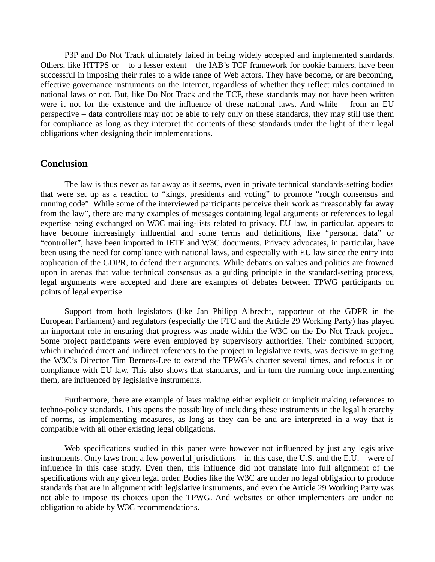P3P and Do Not Track ultimately failed in being widely accepted and implemented standards. Others, like HTTPS or – to a lesser extent – the IAB's TCF framework for cookie banners, have been successful in imposing their rules to a wide range of Web actors. They have become, or are becoming, effective governance instruments on the Internet, regardless of whether they reflect rules contained in national laws or not. But, like Do Not Track and the TCF, these standards may not have been written were it not for the existence and the influence of these national laws. And while – from an EU perspective – data controllers may not be able to rely only on these standards, they may still use them for compliance as long as they interpret the contents of these standards under the light of their legal obligations when designing their implementations.

## **Conclusion**

The law is thus never as far away as it seems, even in private technical standards-setting bodies that were set up as a reaction to "kings, presidents and voting" to promote "rough consensus and running code". While some of the interviewed participants perceive their work as "reasonably far away from the law", there are many examples of messages containing legal arguments or references to legal expertise being exchanged on W3C mailing-lists related to privacy. EU law, in particular, appears to have become increasingly influential and some terms and definitions, like "personal data" or "controller", have been imported in IETF and W3C documents. Privacy advocates, in particular, have been using the need for compliance with national laws, and especially with EU law since the entry into application of the GDPR, to defend their arguments. While debates on values and politics are frowned upon in arenas that value technical consensus as a guiding principle in the standard-setting process, legal arguments were accepted and there are examples of debates between TPWG participants on points of legal expertise.

Support from both legislators (like Jan Philipp Albrecht, rapporteur of the GDPR in the European Parliament) and regulators (especially the FTC and the Article 29 Working Party) has played an important role in ensuring that progress was made within the W3C on the Do Not Track project. Some project participants were even employed by supervisory authorities. Their combined support, which included direct and indirect references to the project in legislative texts, was decisive in getting the W3C's Director Tim Berners-Lee to extend the TPWG's charter several times, and refocus it on compliance with EU law. This also shows that standards, and in turn the running code implementing them, are influenced by legislative instruments.

Furthermore, there are example of laws making either explicit or implicit making references to techno-policy standards. This opens the possibility of including these instruments in the legal hierarchy of norms, as implementing measures, as long as they can be and are interpreted in a way that is compatible with all other existing legal obligations.

Web specifications studied in this paper were however not influenced by just any legislative instruments. Only laws from a few powerful jurisdictions – in this case, the U.S. and the E.U. – were of influence in this case study. Even then, this influence did not translate into full alignment of the specifications with any given legal order. Bodies like the W3C are under no legal obligation to produce standards that are in alignment with legislative instruments, and even the Article 29 Working Party was not able to impose its choices upon the TPWG. And websites or other implementers are under no obligation to abide by W3C recommendations.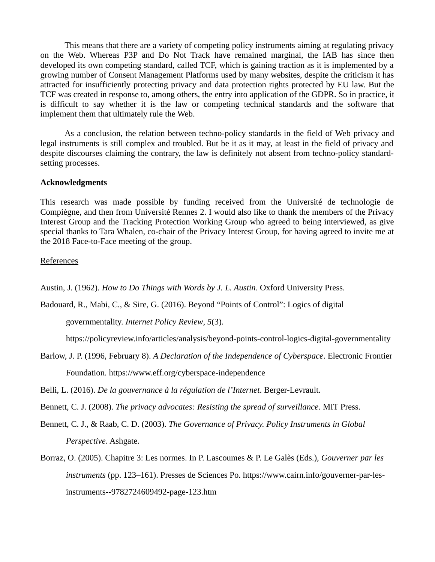This means that there are a variety of competing policy instruments aiming at regulating privacy on the Web. Whereas P3P and Do Not Track have remained marginal, the IAB has since then developed its own competing standard, called TCF, which is gaining traction as it is implemented by a growing number of Consent Management Platforms used by many websites, despite the criticism it has attracted for insufficiently protecting privacy and data protection rights protected by EU law. But the TCF was created in response to, among others, the entry into application of the GDPR. So in practice, it is difficult to say whether it is the law or competing technical standards and the software that implement them that ultimately rule the Web.

As a conclusion, the relation between techno-policy standards in the field of Web privacy and legal instruments is still complex and troubled. But be it as it may, at least in the field of privacy and despite discourses claiming the contrary, the law is definitely not absent from techno-policy standardsetting processes.

#### **Acknowledgments**

This research was made possible by funding received from the Université de technologie de Compiègne, and then from Université Rennes 2. I would also like to thank the members of the Privacy Interest Group and the Tracking Protection Working Group who agreed to being interviewed, as give special thanks to Tara Whalen, co-chair of the Privacy Interest Group, for having agreed to invite me at the 2018 Face-to-Face meeting of the group.

#### References

Austin, J. (1962). *How to Do Things with Words by J. L. Austin*. Oxford University Press.

Badouard, R., Mabi, C., & Sire, G. (2016). Beyond "Points of Control": Logics of digital

governmentality. *Internet Policy Review*, *5*(3).

https://policyreview.info/articles/analysis/beyond-points-control-logics-digital-governmentality

Barlow, J. P. (1996, February 8). *A Declaration of the Independence of Cyberspace*. Electronic Frontier Foundation. https://www.eff.org/cyberspace-independence

Belli, L. (2016). *De la gouvernance à la régulation de l'Internet*. Berger-Levrault.

Bennett, C. J. (2008). *The privacy advocates: Resisting the spread of surveillance*. MIT Press.

- Bennett, C. J., & Raab, C. D. (2003). *The Governance of Privacy. Policy Instruments in Global Perspective*. Ashgate.
- Borraz, O. (2005). Chapitre 3: Les normes. In P. Lascoumes & P. Le Galès (Eds.), *Gouverner par les instruments* (pp. 123–161). Presses de Sciences Po. https://www.cairn.info/gouverner-par-lesinstruments--9782724609492-page-123.htm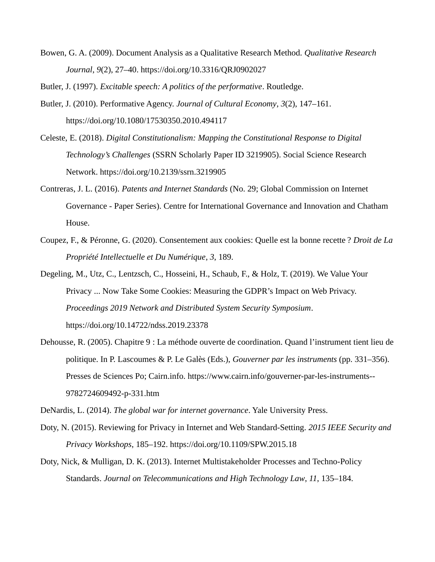Bowen, G. A. (2009). Document Analysis as a Qualitative Research Method. *Qualitative Research Journal*, *9*(2), 27–40. https://doi.org/10.3316/QRJ0902027

Butler, J. (1997). *Excitable speech: A politics of the performative*. Routledge.

- Butler, J. (2010). Performative Agency. *Journal of Cultural Economy*, *3*(2), 147–161. https://doi.org/10.1080/17530350.2010.494117
- Celeste, E. (2018). *Digital Constitutionalism: Mapping the Constitutional Response to Digital Technology's Challenges* (SSRN Scholarly Paper ID 3219905). Social Science Research Network. https://doi.org/10.2139/ssrn.3219905
- Contreras, J. L. (2016). *Patents and Internet Standards* (No. 29; Global Commission on Internet Governance - Paper Series). Centre for International Governance and Innovation and Chatham House.
- Coupez, F., & Péronne, G. (2020). Consentement aux cookies: Quelle est la bonne recette ? *Droit de La Propriété Intellectuelle et Du Numérique*, *3*, 189.
- Degeling, M., Utz, C., Lentzsch, C., Hosseini, H., Schaub, F., & Holz, T. (2019). We Value Your Privacy ... Now Take Some Cookies: Measuring the GDPR's Impact on Web Privacy. *Proceedings 2019 Network and Distributed System Security Symposium*. https://doi.org/10.14722/ndss.2019.23378
- Dehousse, R. (2005). Chapitre 9 : La méthode ouverte de coordination. Quand l'instrument tient lieu de politique. In P. Lascoumes & P. Le Galès (Eds.), *Gouverner par les instruments* (pp. 331–356). Presses de Sciences Po; Cairn.info. https://www.cairn.info/gouverner-par-les-instruments-- 9782724609492-p-331.htm

DeNardis, L. (2014). *The global war for internet governance*. Yale University Press.

- Doty, N. (2015). Reviewing for Privacy in Internet and Web Standard-Setting. *2015 IEEE Security and Privacy Workshops*, 185–192. https://doi.org/10.1109/SPW.2015.18
- Doty, Nick, & Mulligan, D. K. (2013). Internet Multistakeholder Processes and Techno-Policy Standards. *Journal on Telecommunications and High Technology Law*, *11*, 135–184.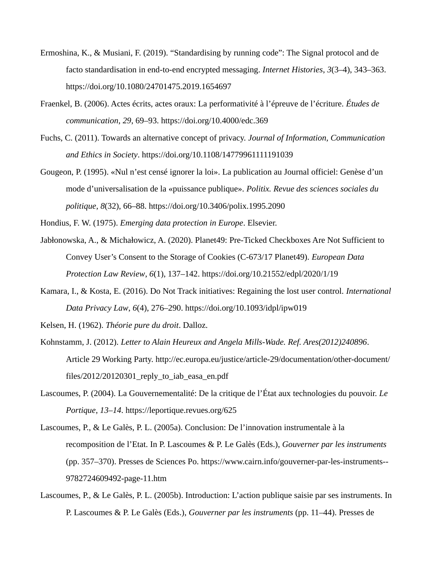- Ermoshina, K., & Musiani, F. (2019). "Standardising by running code": The Signal protocol and de facto standardisation in end-to-end encrypted messaging. *Internet Histories*, *3*(3–4), 343–363. https://doi.org/10.1080/24701475.2019.1654697
- Fraenkel, B. (2006). Actes écrits, actes oraux: La performativité à l'épreuve de l'écriture. *Études de communication*, *29*, 69–93. https://doi.org/10.4000/edc.369
- Fuchs, C. (2011). Towards an alternative concept of privacy. *Journal of Information, Communication and Ethics in Society*. https://doi.org/10.1108/14779961111191039
- Gougeon, P. (1995). «Nul n'est censé ignorer la loi». La publication au Journal officiel: Genèse d'un mode d'universalisation de la «puissance publique». *Politix. Revue des sciences sociales du politique*, *8*(32), 66–88. https://doi.org/10.3406/polix.1995.2090

Hondius, F. W. (1975). *Emerging data protection in Europe*. Elsevier.

- Jabłonowska, A., & Michałowicz, A. (2020). Planet49: Pre-Ticked Checkboxes Are Not Sufficient to Convey User's Consent to the Storage of Cookies (C-673/17 Planet49). *European Data Protection Law Review*, *6*(1), 137–142. https://doi.org/10.21552/edpl/2020/1/19
- Kamara, I., & Kosta, E. (2016). Do Not Track initiatives: Regaining the lost user control. *International Data Privacy Law*, *6*(4), 276–290. https://doi.org/10.1093/idpl/ipw019
- Kelsen, H. (1962). *Théorie pure du droit*. Dalloz.
- Kohnstamm, J. (2012). *Letter to Alain Heureux and Angela Mills-Wade. Ref. Ares(2012)240896*. Article 29 Working Party. http://ec.europa.eu/justice/article-29/documentation/other-document/ files/2012/20120301 reply to iab easa en.pdf
- Lascoumes, P. (2004). La Gouvernementalité: De la critique de l'État aux technologies du pouvoir. *Le Portique*, *13–14*. https://leportique.revues.org/625
- Lascoumes, P., & Le Galès, P. L. (2005a). Conclusion: De l'innovation instrumentale à la recomposition de l'Etat. In P. Lascoumes & P. Le Galès (Eds.), *Gouverner par les instruments* (pp. 357–370). Presses de Sciences Po. https://www.cairn.info/gouverner-par-les-instruments-- 9782724609492-page-11.htm
- Lascoumes, P., & Le Galès, P. L. (2005b). Introduction: L'action publique saisie par ses instruments. In P. Lascoumes & P. Le Galès (Eds.), *Gouverner par les instruments* (pp. 11–44). Presses de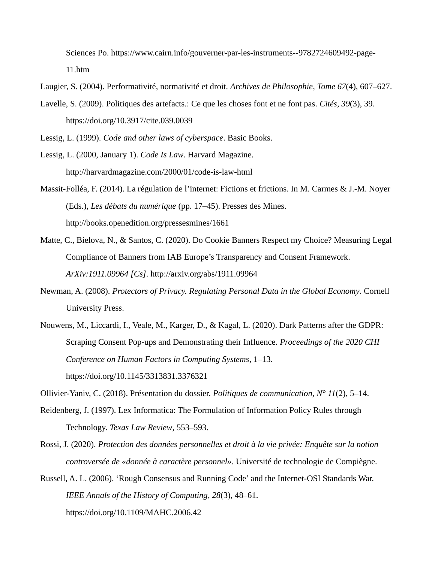Sciences Po. https://www.cairn.info/gouverner-par-les-instruments--9782724609492-page-11.htm

Laugier, S. (2004). Performativité, normativité et droit. *Archives de Philosophie*, *Tome 67*(4), 607–627.

Lavelle, S. (2009). Politiques des artefacts.: Ce que les choses font et ne font pas. *Cités*, *39*(3), 39. https://doi.org/10.3917/cite.039.0039

Lessig, L. (1999). *Code and other laws of cyberspace*. Basic Books.

- Lessig, L. (2000, January 1). *Code Is Law*. Harvard Magazine. http://harvardmagazine.com/2000/01/code-is-law-html
- Massit-Folléa, F. (2014). La régulation de l'internet: Fictions et frictions. In M. Carmes & J.-M. Noyer (Eds.), *Les débats du numérique* (pp. 17–45). Presses des Mines. http://books.openedition.org/pressesmines/1661
- Matte, C., Bielova, N., & Santos, C. (2020). Do Cookie Banners Respect my Choice? Measuring Legal Compliance of Banners from IAB Europe's Transparency and Consent Framework. *ArXiv:1911.09964 [Cs]*. http://arxiv.org/abs/1911.09964
- Newman, A. (2008). *Protectors of Privacy. Regulating Personal Data in the Global Economy*. Cornell University Press.
- Nouwens, M., Liccardi, I., Veale, M., Karger, D., & Kagal, L. (2020). Dark Patterns after the GDPR: Scraping Consent Pop-ups and Demonstrating their Influence. *Proceedings of the 2020 CHI Conference on Human Factors in Computing Systems*, 1–13. https://doi.org/10.1145/3313831.3376321

Ollivier-Yaniv, C. (2018). Présentation du dossier. *Politiques de communication*, *N° 11*(2), 5–14.

- Reidenberg, J. (1997). Lex Informatica: The Formulation of Information Policy Rules through Technology. *Texas Law Review*, 553–593.
- Rossi, J. (2020). *Protection des données personnelles et droit à la vie privée: Enquête sur la notion controversée de «donnée à caractère personnel»*. Université de technologie de Compiègne.

Russell, A. L. (2006). 'Rough Consensus and Running Code' and the Internet-OSI Standards War. *IEEE Annals of the History of Computing*, *28*(3), 48–61. https://doi.org/10.1109/MAHC.2006.42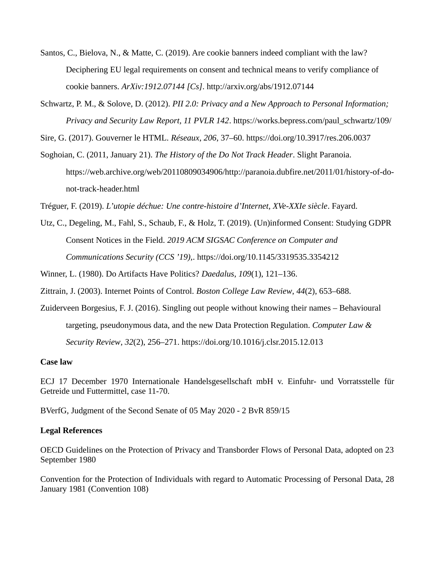- Santos, C., Bielova, N., & Matte, C. (2019). Are cookie banners indeed compliant with the law? Deciphering EU legal requirements on consent and technical means to verify compliance of cookie banners. *ArXiv:1912.07144 [Cs]*. http://arxiv.org/abs/1912.07144
- Schwartz, P. M., & Solove, D. (2012). *PII 2.0: Privacy and a New Approach to Personal Information; Privacy and Security Law Report, 11 PVLR 142*. https://works.bepress.com/paul\_schwartz/109/

Sire, G. (2017). Gouverner le HTML. *Réseaux*, *206*, 37–60. https://doi.org/10.3917/res.206.0037

Soghoian, C. (2011, January 21). *The History of the Do Not Track Header*. Slight Paranoia. https://web.archive.org/web/20110809034906/http://paranoia.dubfire.net/2011/01/history-of-donot-track-header.html

Tréguer, F. (2019). *L'utopie déchue: Une contre-histoire d'Internet, XVe-XXIe siècle*. Fayard.

Utz, C., Degeling, M., Fahl, S., Schaub, F., & Holz, T. (2019). (Un)informed Consent: Studying GDPR Consent Notices in the Field. *2019 ACM SIGSAC Conference on Computer and Communications Security (CCS '19),*. https://doi.org/10.1145/3319535.3354212

Winner, L. (1980). Do Artifacts Have Politics? *Daedalus*, *109*(1), 121–136.

Zittrain, J. (2003). Internet Points of Control. *Boston College Law Review*, *44*(2), 653–688.

Zuiderveen Borgesius, F. J. (2016). Singling out people without knowing their names – Behavioural targeting, pseudonymous data, and the new Data Protection Regulation. *Computer Law & Security Review*, *32*(2), 256–271. https://doi.org/10.1016/j.clsr.2015.12.013

#### **Case law**

ECJ 17 December 1970 Internationale Handelsgesellschaft mbH v. Einfuhr- und Vorratsstelle für Getreide und Futtermittel, case 11-70.

BVerfG, Judgment of the Second Senate of 05 May 2020 - 2 BvR 859/15

#### **Legal References**

OECD Guidelines on the Protection of Privacy and Transborder Flows of Personal Data, adopted on 23 September 1980

Convention for the Protection of Individuals with regard to Automatic Processing of Personal Data, 28 January 1981 (Convention 108)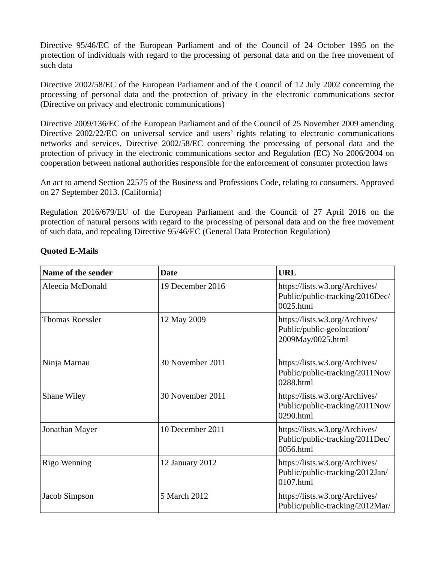Directive 95/46/EC of the European Parliament and of the Council of 24 October 1995 on the protection of individuals with regard to the processing of personal data and on the free movement of such data

Directive 2002/58/EC of the European Parliament and of the Council of 12 July 2002 concerning the processing of personal data and the protection of privacy in the electronic communications sector (Directive on privacy and electronic communications)

Directive 2009/136/EC of the European Parliament and of the Council of 25 November 2009 amending Directive 2002/22/EC on universal service and users' rights relating to electronic communications networks and services, Directive 2002/58/EC concerning the processing of personal data and the protection of privacy in the electronic communications sector and Regulation (EC) No 2006/2004 on cooperation between national authorities responsible for the enforcement of consumer protection laws

An act to amend Section 22575 of the Business and Professions Code, relating to consumers. Approved on 27 September 2013. (California)

Regulation 2016/679/EU of the European Parliament and the Council of 27 April 2016 on the protection of natural persons with regard to the processing of personal data and on the free movement of such data, and repealing Directive 95/46/EC (General Data Protection Regulation)

| Name of the sender     | <b>Date</b>      | <b>URL</b>                                                                        |
|------------------------|------------------|-----------------------------------------------------------------------------------|
| Aleecia McDonald       | 19 December 2016 | https://lists.w3.org/Archives/<br>Public/public-tracking/2016Dec/<br>0025.html    |
| <b>Thomas Roessler</b> | 12 May 2009      | https://lists.w3.org/Archives/<br>Public/public-geolocation/<br>2009May/0025.html |
| Ninja Marnau           | 30 November 2011 | https://lists.w3.org/Archives/<br>Public/public-tracking/2011Nov/<br>0288.html    |
| <b>Shane Wiley</b>     | 30 November 2011 | https://lists.w3.org/Archives/<br>Public/public-tracking/2011Nov/<br>0290.html    |
| Jonathan Mayer         | 10 December 2011 | https://lists.w3.org/Archives/<br>Public/public-tracking/2011Dec/<br>0056.html    |
| Rigo Wenning           | 12 January 2012  | https://lists.w3.org/Archives/<br>Public/public-tracking/2012Jan/<br>0107.html    |
| Jacob Simpson          | 5 March 2012     | https://lists.w3.org/Archives/<br>Public/public-tracking/2012Mar/                 |

#### **Quoted E-Mails**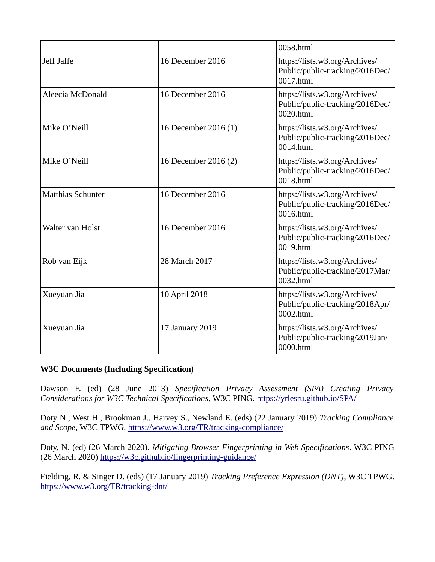|                          |                      | 0058.html                                                                      |
|--------------------------|----------------------|--------------------------------------------------------------------------------|
| Jeff Jaffe               | 16 December 2016     | https://lists.w3.org/Archives/<br>Public/public-tracking/2016Dec/<br>0017.html |
| Aleecia McDonald         | 16 December 2016     | https://lists.w3.org/Archives/<br>Public/public-tracking/2016Dec/<br>0020.html |
| Mike O'Neill             | 16 December 2016 (1) | https://lists.w3.org/Archives/<br>Public/public-tracking/2016Dec/<br>0014.html |
| Mike O'Neill             | 16 December 2016 (2) | https://lists.w3.org/Archives/<br>Public/public-tracking/2016Dec/<br>0018.html |
| <b>Matthias Schunter</b> | 16 December 2016     | https://lists.w3.org/Archives/<br>Public/public-tracking/2016Dec/<br>0016.html |
| Walter van Holst         | 16 December 2016     | https://lists.w3.org/Archives/<br>Public/public-tracking/2016Dec/<br>0019.html |
| Rob van Eijk             | 28 March 2017        | https://lists.w3.org/Archives/<br>Public/public-tracking/2017Mar/<br>0032.html |
| Xueyuan Jia              | 10 April 2018        | https://lists.w3.org/Archives/<br>Public/public-tracking/2018Apr/<br>0002.html |
| Xueyuan Jia              | 17 January 2019      | https://lists.w3.org/Archives/<br>Public/public-tracking/2019Jan/<br>0000.html |

## **W3C Documents (Including Specification)**

Dawson F. (ed) (28 June 2013) *Specification Privacy Assessment (SPA) Creating Privacy Considerations for W3C Technical Specifications*, W3C PING.<https://yrlesru.github.io/SPA/>

Doty N., West H., Brookman J., Harvey S., Newland E. (eds) (22 January 2019) *Tracking Compliance and Scope*, W3C TPWG.<https://www.w3.org/TR/tracking-compliance/>

Doty, N. (ed) (26 March 2020). *Mitigating Browser Fingerprinting in Web Specifications*. W3C PING (26 March 2020)<https://w3c.github.io/fingerprinting-guidance/>

Fielding, R. & Singer D. (eds) (17 January 2019) *Tracking Preference Expression (DNT)*, W3C TPWG. <https://www.w3.org/TR/tracking-dnt/>